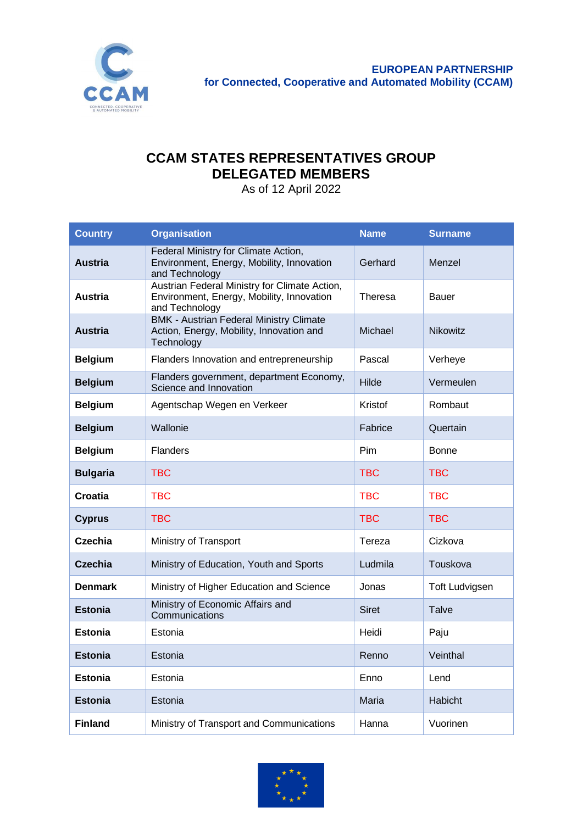

## **CCAM STATES REPRESENTATIVES GROUP DELEGATED MEMBERS**

As of 12 April 2022

| <b>Country</b>  | <b>Organisation</b>                                                                                          | <b>Name</b>  | <b>Surname</b>        |
|-----------------|--------------------------------------------------------------------------------------------------------------|--------------|-----------------------|
| <b>Austria</b>  | Federal Ministry for Climate Action,<br>Environment, Energy, Mobility, Innovation<br>and Technology          | Gerhard      | Menzel                |
| <b>Austria</b>  | Austrian Federal Ministry for Climate Action,<br>Environment, Energy, Mobility, Innovation<br>and Technology | Theresa      | <b>Bauer</b>          |
| <b>Austria</b>  | <b>BMK - Austrian Federal Ministry Climate</b><br>Action, Energy, Mobility, Innovation and<br>Technology     | Michael      | <b>Nikowitz</b>       |
| <b>Belgium</b>  | Flanders Innovation and entrepreneurship                                                                     | Pascal       | Verheye               |
| <b>Belgium</b>  | Flanders government, department Economy,<br>Science and Innovation                                           | Hilde        | Vermeulen             |
| <b>Belgium</b>  | Agentschap Wegen en Verkeer                                                                                  | Kristof      | Rombaut               |
| <b>Belgium</b>  | Wallonie                                                                                                     | Fabrice      | Quertain              |
| <b>Belgium</b>  | <b>Flanders</b>                                                                                              | Pim          | <b>Bonne</b>          |
| <b>Bulgaria</b> | <b>TBC</b>                                                                                                   | <b>TBC</b>   | <b>TBC</b>            |
| <b>Croatia</b>  | <b>TBC</b>                                                                                                   | <b>TBC</b>   | <b>TBC</b>            |
| <b>Cyprus</b>   | <b>TBC</b>                                                                                                   | <b>TBC</b>   | <b>TBC</b>            |
| Czechia         | Ministry of Transport                                                                                        | Tereza       | Cizkova               |
| <b>Czechia</b>  | Ministry of Education, Youth and Sports                                                                      | Ludmila      | Touskova              |
| <b>Denmark</b>  | Ministry of Higher Education and Science                                                                     | Jonas        | <b>Toft Ludvigsen</b> |
| <b>Estonia</b>  | Ministry of Economic Affairs and<br>Communications                                                           | <b>Siret</b> | Talve                 |
| <b>Estonia</b>  | Estonia                                                                                                      | Heidi        | Paju                  |
| Estonia         | Estonia                                                                                                      | Renno        | Veinthal              |
| <b>Estonia</b>  | Estonia                                                                                                      | Enno         | Lend                  |
| <b>Estonia</b>  | Estonia                                                                                                      | Maria        | <b>Habicht</b>        |
| <b>Finland</b>  | Ministry of Transport and Communications                                                                     | Hanna        | Vuorinen              |

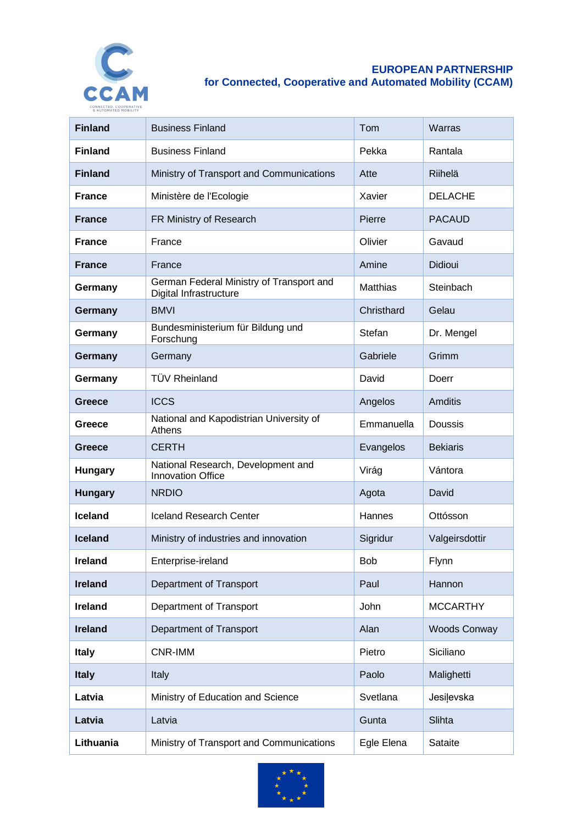

## **EUROPEAN PARTNERSHIP for Connected, Cooperative and Automated Mobility (CCAM)**

| <b>Finland</b> | <b>Business Finland</b>                                            | Tom             | Warras              |
|----------------|--------------------------------------------------------------------|-----------------|---------------------|
| <b>Finland</b> | <b>Business Finland</b>                                            | Pekka           | Rantala             |
| <b>Finland</b> | Ministry of Transport and Communications                           | Atte            | Riihelä             |
| <b>France</b>  | Ministère de l'Ecologie                                            | Xavier          | <b>DELACHE</b>      |
| <b>France</b>  | FR Ministry of Research                                            | Pierre          | <b>PACAUD</b>       |
| <b>France</b>  | France                                                             | Olivier         | Gavaud              |
| <b>France</b>  | France                                                             | Amine           | Didioui             |
| Germany        | German Federal Ministry of Transport and<br>Digital Infrastructure | <b>Matthias</b> | Steinbach           |
| Germany        | <b>BMVI</b>                                                        | Christhard      | Gelau               |
| Germany        | Bundesministerium für Bildung und<br>Forschung                     | Stefan          | Dr. Mengel          |
| Germany        | Germany                                                            | Gabriele        | Grimm               |
| Germany        | <b>TÜV Rheinland</b>                                               | David           | Doerr               |
| <b>Greece</b>  | <b>ICCS</b>                                                        | Angelos         | Amditis             |
| Greece         | National and Kapodistrian University of<br>Athens                  | Emmanuella      | Doussis             |
| <b>Greece</b>  | <b>CERTH</b>                                                       | Evangelos       | <b>Bekiaris</b>     |
| <b>Hungary</b> | National Research, Development and<br><b>Innovation Office</b>     | Virág           | Vántora             |
| <b>Hungary</b> | <b>NRDIO</b>                                                       | Agota           | David               |
| <b>Iceland</b> | <b>Iceland Research Center</b>                                     | Hannes          | Ottósson            |
| <b>Iceland</b> | Ministry of industries and innovation                              | Sigridur        | Valgeirsdottir      |
| <b>Ireland</b> | Enterprise-ireland                                                 | <b>Bob</b>      | Flynn               |
| <b>Ireland</b> | Department of Transport                                            | Paul            | Hannon              |
| Ireland        | Department of Transport                                            | John            | <b>MCCARTHY</b>     |
| <b>Ireland</b> | Department of Transport                                            | Alan            | <b>Woods Conway</b> |
| <b>Italy</b>   | CNR-IMM                                                            | Pietro          | Siciliano           |
| <b>Italy</b>   | Italy                                                              | Paolo           | Malighetti          |
| Latvia         | Ministry of Education and Science                                  | Svetlana        | Jesilevska          |
| Latvia         | Latvia                                                             | Gunta           | Slihta              |
| Lithuania      | Ministry of Transport and Communications                           | Egle Elena      | Sataite             |

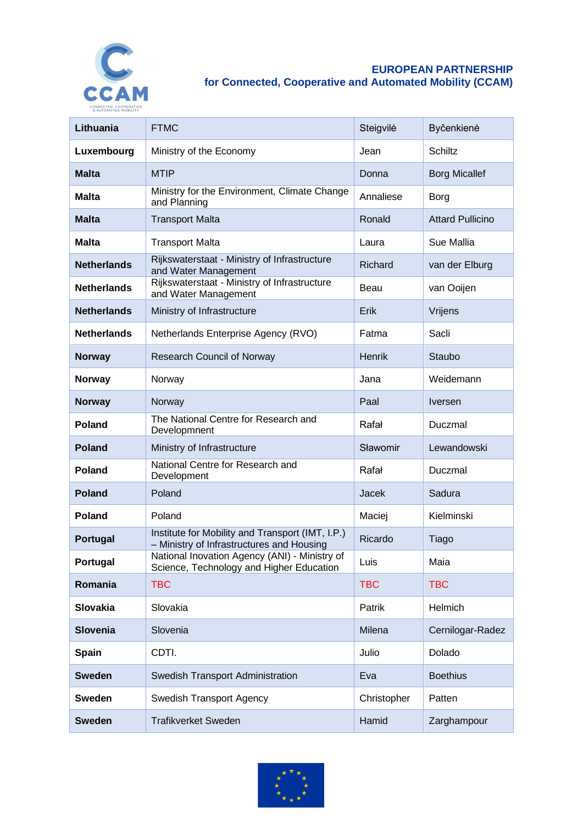

## **EUROPEAN PARTNERSHIP for Connected, Cooperative and Automated Mobility (CCAM)**

| Lithuania          | <b>FTMC</b>                                                                                   | Steigvilė   | Byčenkienė              |
|--------------------|-----------------------------------------------------------------------------------------------|-------------|-------------------------|
| Luxembourg         | Ministry of the Economy                                                                       | Jean        | <b>Schiltz</b>          |
| <b>Malta</b>       | <b>MTIP</b>                                                                                   | Donna       | <b>Borg Micallef</b>    |
| <b>Malta</b>       | Ministry for the Environment, Climate Change<br>and Planning                                  | Annaliese   | Borg                    |
| <b>Malta</b>       | <b>Transport Malta</b>                                                                        | Ronald      | <b>Attard Pullicino</b> |
| <b>Malta</b>       | <b>Transport Malta</b>                                                                        | Laura       | Sue Mallia              |
| <b>Netherlands</b> | Rijkswaterstaat - Ministry of Infrastructure<br>and Water Management                          | Richard     | van der Elburg          |
| <b>Netherlands</b> | Rijkswaterstaat - Ministry of Infrastructure<br>and Water Management                          | Beau        | van Ooijen              |
| <b>Netherlands</b> | Ministry of Infrastructure                                                                    | Erik        | Vrijens                 |
| <b>Netherlands</b> | Netherlands Enterprise Agency (RVO)                                                           | Fatma       | Sacli                   |
| <b>Norway</b>      | <b>Research Council of Norway</b>                                                             | Henrik      | Staubo                  |
| <b>Norway</b>      | Norway                                                                                        | Jana        | Weidemann               |
| <b>Norway</b>      | Norway                                                                                        | Paal        | <b>Iversen</b>          |
| Poland             | The National Centre for Research and<br>Developmnent                                          | Rafał       | Duczmal                 |
| <b>Poland</b>      | Ministry of Infrastructure                                                                    | Sławomir    | Lewandowski             |
| Poland             | National Centre for Research and<br>Development                                               | Rafał       | Duczmal                 |
| <b>Poland</b>      | Poland                                                                                        | Jacek       | Sadura                  |
| Poland             | Poland                                                                                        | Maciej      | Kielminski              |
| Portugal           | Institute for Mobility and Transport (IMT, I.P.)<br>- Ministry of Infrastructures and Housing | Ricardo     | Tiago                   |
| Portugal           | National Inovation Agency (ANI) - Ministry of<br>Science, Technology and Higher Education     | Luis        | Maia                    |
| Romania            | <b>TBC</b>                                                                                    | <b>TBC</b>  | <b>TBC</b>              |
| Slovakia           | Slovakia                                                                                      | Patrik      | Helmich                 |
| Slovenia           | Slovenia                                                                                      | Milena      | Cernilogar-Radez        |
| <b>Spain</b>       | CDTI.                                                                                         | Julio       | Dolado                  |
| <b>Sweden</b>      | Swedish Transport Administration                                                              | Eva         | <b>Boethius</b>         |
| <b>Sweden</b>      | Swedish Transport Agency                                                                      | Christopher | Patten                  |
| <b>Sweden</b>      | <b>Trafikverket Sweden</b>                                                                    | Hamid       | Zarghampour             |